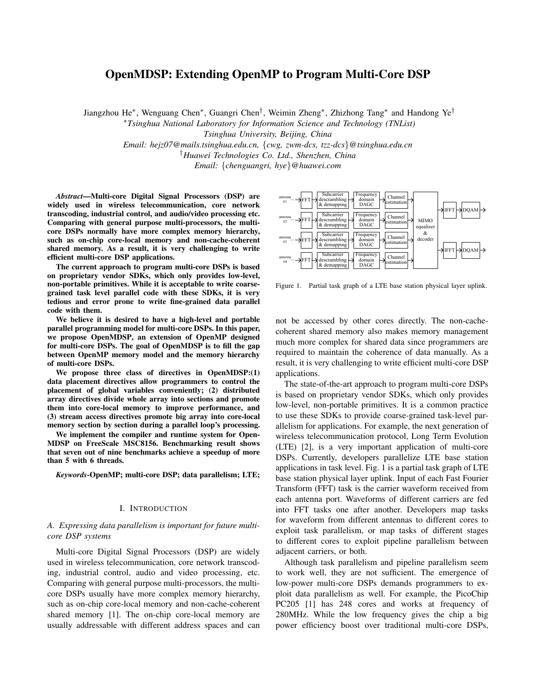# OpenMDSP: Extending OpenMP to Program Multi-Core DSP

Jiangzhou He<sup>∗</sup> , Wenguang Chen<sup>∗</sup> , Guangri Chen† , Weimin Zheng<sup>∗</sup> , Zhizhong Tang<sup>∗</sup> and Handong Ye†

<sup>∗</sup>*Tsinghua National Laboratory for Information Science and Technology (TNList)*

*Tsinghua University, Beijing, China*

*Email: hejz07@mails.tsinghua.edu.cn,* {*cwg, zwm-dcs, tzz-dcs*}*@tsinghua.edu.cn* †*Huawei Technologies Co. Ltd., Shenzhen, China*

*Email:* {*chenguangri, hye*}*@huawei.com*

*Abstract*—Multi-core Digital Signal Processors (DSP) are widely used in wireless telecommunication, core network transcoding, industrial control, and audio/video processing etc. Comparing with general purpose multi-processors, the multicore DSPs normally have more complex memory hierarchy, such as on-chip core-local memory and non-cache-coherent shared memory. As a result, it is very challenging to write efficient multi-core DSP applications.

The current approach to program multi-core DSPs is based on proprietary vendor SDKs, which only provides low-level, non-portable primitives. While it is acceptable to write coarsegrained task level parallel code with these SDKs, it is very tedious and error prone to write fine-grained data parallel code with them.

We believe it is desired to have a high-level and portable parallel programming model for multi-core DSPs. In this paper, we propose OpenMDSP, an extension of OpenMP designed for multi-core DSPs. The goal of OpenMDSP is to fill the gap between OpenMP memory model and the memory hierarchy of multi-core DSPs.

We propose three class of directives in OpenMDSP:(1) data placement directives allow programmers to control the placement of global variables conveniently; (2) distributed array directives divide whole array into sections and promote them into core-local memory to improve performance, and (3) stream access directives promote big array into core-local memory section by section during a parallel loop's processing.

We implement the compiler and runtime system for Open-MDSP on FreeScale MSC8156. Benchmarking result shows that seven out of nine benchmarks achieve a speedup of more than 5 with 6 threads.

*Keywords*-OpenMP; multi-core DSP; data parallelism; LTE;

#### I. INTRODUCTION

## *A. Expressing data parallelism is important for future multicore DSP systems*

Multi-core Digital Signal Processors (DSP) are widely used in wireless telecommunication, core network transcoding, industrial control, audio and video processing, etc. Comparing with general purpose multi-processors, the multicore DSPs usually have more complex memory hierarchy, such as on-chip core-local memory and non-cache-coherent shared memory [1]. The on-chip core-local memory are usually addressable with different address spaces and can



Figure 1. Partial task graph of a LTE base station physical layer uplink.

not be accessed by other cores directly. The non-cachecoherent shared memory also makes memory management much more complex for shared data since programmers are required to maintain the coherence of data manually. As a result, it is very challenging to write efficient multi-core DSP applications.

The state-of-the-art approach to program multi-core DSPs is based on proprietary vendor SDKs, which only provides low-level, non-portable primitives. It is a common practice to use these SDKs to provide coarse-grained task-level parallelism for applications. For example, the next generation of wireless telecommunication protocol, Long Term Evolution (LTE) [2], is a very important application of multi-core DSPs. Currently, developers parallelize LTE base station applications in task level. Fig. 1 is a partial task graph of LTE base station physical layer uplink. Input of each Fast Fourier Transform (FFT) task is the carrier waveform received from each antenna port. Waveforms of different carriers are fed into FFT tasks one after another. Developers map tasks for waveform from different antennas to different cores to exploit task parallelism, or map tasks of different stages to different cores to exploit pipeline parallelism between adjacent carriers, or both.

Although task parallelism and pipeline parallelism seem to work well, they are not sufficient. The emergence of low-power multi-core DSPs demands programmers to exploit data parallelism as well. For example, the PicoChip PC205 [1] has 248 cores and works at frequency of 280MHz. While the low frequency gives the chip a big power efficiency boost over traditional multi-core DSPs,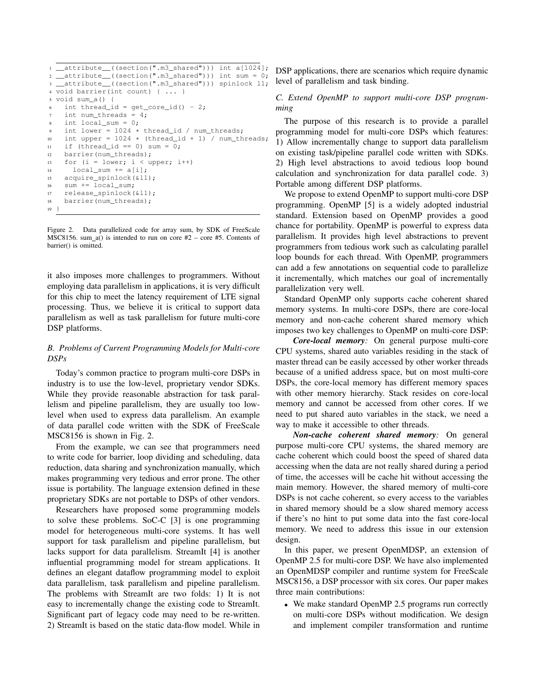```
1 _attribute_((section(".m3_shared"))) int a[1024];
2 __attribute__((section(".m3_shared"))) int sum = 0;
3 __attribute__((section(".m3_shared"))) spinlock l1;
4 void barrier(int count) { ... }
5 void sum_a() {
6 int thread id = get core id() - 2;
    int num_threads = 4;int local_sum = 0;9 int lower = 1024 \times \text{thread_id} / num_threads;<br>10 int upper = 1024 \times \text{thread_id} + 1) / num th
    int upper = 1024 * (thread_id + 1) / num_threads;11 if (thread_id == 0) sum = 0;
12 barrier(num_threads);
13 for (i = lower; i < upper; i++)14 local_sum += a[i];15 acquire_spinlock(&l1);
16 sum += local_sum;
17 release_spinlock(&l1);
18 barrier(num_threads);
19 }
```
Figure 2. Data parallelized code for array sum, by SDK of FreeScale MSC8156. sum\_a() is intended to run on core  $#2$  – core  $#5$ . Contents of barrier() is omitted.

it also imposes more challenges to programmers. Without employing data parallelism in applications, it is very difficult for this chip to meet the latency requirement of LTE signal processing. Thus, we believe it is critical to support data parallelism as well as task parallelism for future multi-core DSP platforms.

## *B. Problems of Current Programming Models for Multi-core DSPs*

Today's common practice to program multi-core DSPs in industry is to use the low-level, proprietary vendor SDKs. While they provide reasonable abstraction for task parallelism and pipeline parallelism, they are usually too lowlevel when used to express data parallelism. An example of data parallel code written with the SDK of FreeScale MSC8156 is shown in Fig. 2.

From the example, we can see that programmers need to write code for barrier, loop dividing and scheduling, data reduction, data sharing and synchronization manually, which makes programming very tedious and error prone. The other issue is portability. The language extension defined in these proprietary SDKs are not portable to DSPs of other vendors.

Researchers have proposed some programming models to solve these problems. SoC-C [3] is one programming model for heterogeneous multi-core systems. It has well support for task parallelism and pipeline parallelism, but lacks support for data parallelism. StreamIt [4] is another influential programming model for stream applications. It defines an elegant dataflow programming model to exploit data parallelism, task parallelism and pipeline parallelism. The problems with StreamIt are two folds: 1) It is not easy to incrementally change the existing code to StreamIt. Significant part of legacy code may need to be re-written. 2) StreamIt is based on the static data-flow model. While in DSP applications, there are scenarios which require dynamic level of parallelism and task binding.

# *C. Extend OpenMP to support multi-core DSP programming*

The purpose of this research is to provide a parallel programming model for multi-core DSPs which features: 1) Allow incrementally change to support data parallelism on existing task/pipeline parallel code written with SDKs. 2) High level abstractions to avoid tedious loop bound calculation and synchronization for data parallel code. 3) Portable among different DSP platforms.

We propose to extend OpenMP to support multi-core DSP programming. OpenMP [5] is a widely adopted industrial standard. Extension based on OpenMP provides a good chance for portability. OpenMP is powerful to express data parallelism. It provides high level abstractions to prevent programmers from tedious work such as calculating parallel loop bounds for each thread. With OpenMP, programmers can add a few annotations on sequential code to parallelize it incrementally, which matches our goal of incrementally parallelization very well.

Standard OpenMP only supports cache coherent shared memory systems. In multi-core DSPs, there are core-local memory and non-cache coherent shared memory which imposes two key challenges to OpenMP on multi-core DSP:

*Core-local memory:* On general purpose multi-core CPU systems, shared auto variables residing in the stack of master thread can be easily accessed by other worker threads because of a unified address space, but on most multi-core DSPs, the core-local memory has different memory spaces with other memory hierarchy. Stack resides on core-local memory and cannot be accessed from other cores. If we need to put shared auto variables in the stack, we need a way to make it accessible to other threads.

*Non-cache coherent shared memory:* On general purpose multi-core CPU systems, the shared memory are cache coherent which could boost the speed of shared data accessing when the data are not really shared during a period of time, the accesses will be cache hit without accessing the main memory. However, the shared memory of multi-core DSPs is not cache coherent, so every access to the variables in shared memory should be a slow shared memory access if there's no hint to put some data into the fast core-local memory. We need to address this issue in our extension design.

In this paper, we present OpenMDSP, an extension of OpenMP 2.5 for multi-core DSP. We have also implemented an OpenMDSP compiler and runtime system for FreeScale MSC8156, a DSP processor with six cores. Our paper makes three main contributions:

• We make standard OpenMP 2.5 programs run correctly on multi-core DSPs without modification. We design and implement compiler transformation and runtime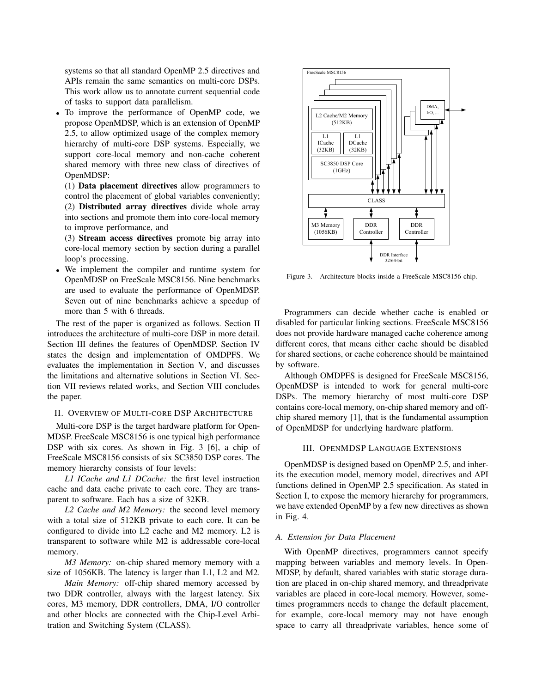systems so that all standard OpenMP 2.5 directives and APIs remain the same semantics on multi-core DSPs. This work allow us to annotate current sequential code of tasks to support data parallelism.

- To improve the performance of OpenMP code, we propose OpenMDSP, which is an extension of OpenMP 2.5, to allow optimized usage of the complex memory hierarchy of multi-core DSP systems. Especially, we support core-local memory and non-cache coherent shared memory with three new class of directives of OpenMDSP:
	- (1) Data placement directives allow programmers to control the placement of global variables conveniently; (2) Distributed array directives divide whole array into sections and promote them into core-local memory to improve performance, and

(3) Stream access directives promote big array into core-local memory section by section during a parallel loop's processing.

• We implement the compiler and runtime system for OpenMDSP on FreeScale MSC8156. Nine benchmarks are used to evaluate the performance of OpenMDSP. Seven out of nine benchmarks achieve a speedup of more than 5 with 6 threads.

The rest of the paper is organized as follows. Section II introduces the architecture of multi-core DSP in more detail. Section III defines the features of OpenMDSP. Section IV states the design and implementation of OMDPFS. We evaluates the implementation in Section V, and discusses the limitations and alternative solutions in Section VI. Section VII reviews related works, and Section VIII concludes the paper.

## II. OVERVIEW OF MULTI-CORE DSP ARCHITECTURE

Multi-core DSP is the target hardware platform for Open-MDSP. FreeScale MSC8156 is one typical high performance DSP with six cores. As shown in Fig. 3 [6], a chip of FreeScale MSC8156 consists of six SC3850 DSP cores. The memory hierarchy consists of four levels:

*L1 ICache and L1 DCache:* the first level instruction cache and data cache private to each core. They are transparent to software. Each has a size of 32KB.

*L2 Cache and M2 Memory:* the second level memory with a total size of 512KB private to each core. It can be configured to divide into L2 cache and M2 memory. L2 is transparent to software while M2 is addressable core-local memory.

*M3 Memory:* on-chip shared memory memory with a size of 1056KB. The latency is larger than L1, L2 and M2.

*Main Memory:* off-chip shared memory accessed by two DDR controller, always with the largest latency. Six cores, M3 memory, DDR controllers, DMA, I/O controller and other blocks are connected with the Chip-Level Arbitration and Switching System (CLASS).



Figure 3. Architecture blocks inside a FreeScale MSC8156 chip.

Programmers can decide whether cache is enabled or disabled for particular linking sections. FreeScale MSC8156 does not provide hardware managed cache coherence among different cores, that means either cache should be disabled for shared sections, or cache coherence should be maintained by software.

Although OMDPFS is designed for FreeScale MSC8156, OpenMDSP is intended to work for general multi-core DSPs. The memory hierarchy of most multi-core DSP contains core-local memory, on-chip shared memory and offchip shared memory [1], that is the fundamental assumption of OpenMDSP for underlying hardware platform.

## III. OPENMDSP LANGUAGE EXTENSIONS

OpenMDSP is designed based on OpenMP 2.5, and inherits the execution model, memory model, directives and API functions defined in OpenMP 2.5 specification. As stated in Section I, to expose the memory hierarchy for programmers, we have extended OpenMP by a few new directives as shown in Fig. 4.

#### *A. Extension for Data Placement*

With OpenMP directives, programmers cannot specify mapping between variables and memory levels. In Open-MDSP, by default, shared variables with static storage duration are placed in on-chip shared memory, and threadprivate variables are placed in core-local memory. However, sometimes programmers needs to change the default placement, for example, core-local memory may not have enough space to carry all threadprivate variables, hence some of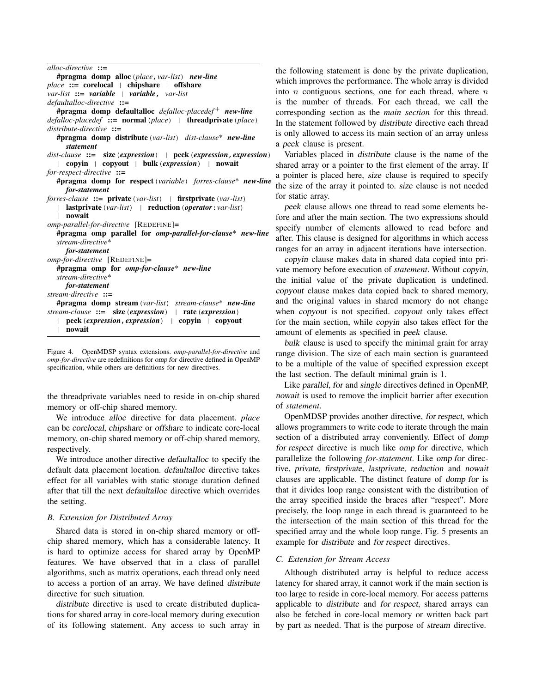*alloc-directive* ::= #pragma domp alloc(*place*,*var-list*) *new-line* place ::= corelocal | chipshare | offshare *var-list* ::= *variable* | *variable*, *var-list defaultalloc-directive* ::= #pragma domp defaultalloc *defalloc-placedef* <sup>+</sup> *new-line defalloc-placedef* ::= normal(*place*) | threadprivate(*place*) *distribute-directive* ::= #pragma domp distribute(*var-list*) *dist-clause*\* *new-line statement dist-clause* ::= size(*expression*) | peek(*expression*,*expression*) | copyin | copyout | bulk(*expression*) | nowait *for-respect-directive* ::= #pragma domp for respect(*variable*) *forres-clause*\* *new-line for-statement forres-clause* ::= private(*var-list*) | firstprivate(*var-list*) | lastprivate(*var-list*) | reduction(*operator*:*var-list*) | nowait *omp-parallel-for-directive* [REDEFINE]= #pragma omp parallel for *omp-parallel-for-clause*\* *new-line stream-directive*\* *for-statement omp-for-directive* [REDEFINE]= #pragma omp for *omp-for-clause*\* *new-line stream-directive*\* *for-statement stream-directive* ::= #pragma domp stream(*var-list*) *stream-clause*\* *new-line stream-clause* ::= size(*expression*) | rate(*expression*) | peek(*expression*,*expression*) | copyin | copyout | nowait

Figure 4. OpenMDSP syntax extensions. *omp-parallel-for-directive* and *omp-for-directive* are redefinitions for omp for directive defined in OpenMP specification, while others are definitions for new directives.

the threadprivate variables need to reside in on-chip shared memory or off-chip shared memory.

We introduce alloc directive for data placement. *place* can be corelocal, chipshare or offshare to indicate core-local memory, on-chip shared memory or off-chip shared memory, respectively.

We introduce another directive defaultalloc to specify the default data placement location. defaultalloc directive takes effect for all variables with static storage duration defined after that till the next defaultalloc directive which overrides the setting.

## *B. Extension for Distributed Array*

Shared data is stored in on-chip shared memory or offchip shared memory, which has a considerable latency. It is hard to optimize access for shared array by OpenMP features. We have observed that in a class of parallel algorithms, such as matrix operations, each thread only need to access a portion of an array. We have defined distribute directive for such situation.

distribute directive is used to create distributed duplications for shared array in core-local memory during execution of its following statement. Any access to such array in the following statement is done by the private duplication, which improves the performance. The whole array is divided into  $n$  contiguous sections, one for each thread, where  $n$ is the number of threads. For each thread, we call the corresponding section as the *main section* for this thread. In the statement followed by distribute directive each thread is only allowed to access its main section of an array unless a peek clause is present.

Variables placed in distribute clause is the name of the shared array or a pointer to the first element of the array. If a pointer is placed here, size clause is required to specify the size of the array it pointed to. size clause is not needed for static array.

peek clause allows one thread to read some elements before and after the main section. The two expressions should specify number of elements allowed to read before and after. This clause is designed for algorithms in which access ranges for an array in adjacent iterations have intersection.

copyin clause makes data in shared data copied into private memory before execution of *statement*. Without copyin, the initial value of the private duplication is undefined. copyout clause makes data copied back to shared memory, and the original values in shared memory do not change when copyout is not specified. copyout only takes effect for the main section, while copyin also takes effect for the amount of elements as specified in peek clause.

bulk clause is used to specify the minimal grain for array range division. The size of each main section is guaranteed to be a multiple of the value of specified expression except the last section. The default minimal grain is 1.

Like parallel, for and single directives defined in OpenMP, nowait is used to remove the implicit barrier after execution of *statement*.

OpenMDSP provides another directive, for respect, which allows programmers to write code to iterate through the main section of a distributed array conveniently. Effect of domp for respect directive is much like omp for directive, which parallelize the following *for-statement*. Like omp for directive, private, firstprivate, lastprivate, reduction and nowait clauses are applicable. The distinct feature of domp for is that it divides loop range consistent with the distribution of the array specified inside the braces after "respect". More precisely, the loop range in each thread is guaranteed to be the intersection of the main section of this thread for the specified array and the whole loop range. Fig. 5 presents an example for distribute and for respect directives.

## *C. Extension for Stream Access*

Although distributed array is helpful to reduce access latency for shared array, it cannot work if the main section is too large to reside in core-local memory. For access patterns applicable to distribute and for respect, shared arrays can also be fetched in core-local memory or written back part by part as needed. That is the purpose of stream directive.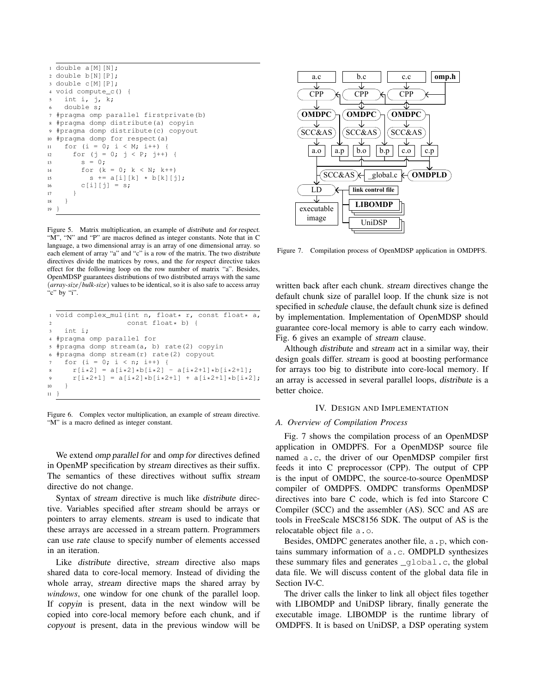```
1 double a[M][N];
2 double b[N][P];
3 double c[M][P];
4 void compute_c() {
    int i, j, k;
    6 double s;
7 #pragma omp parallel firstprivate(b)
8 #pragma domp distribute(a) copyin
9 #pragma domp distribute(c) copyout
10 #pragma domp for respect(a)
11 for (i = 0; i < M; i++) {
12 for (j = 0; j < P; j++)13 S = 0;14 for (k = 0; k < N; k++)15 s := a[i][k] * b[k][j];16 c[i][j] = s;
17 }
18 }
19 }
```
Figure 5. Matrix multiplication, an example of distribute and for respect. "M", "N" and "P" are macros defined as integer constants. Note that in C language, a two dimensional array is an array of one dimensional array. so each element of array "a" and "c" is a row of the matrix. The two distribute directives divide the matrices by rows, and the for respect directive takes effect for the following loop on the row number of matrix "a". Besides, OpenMDSP guarantees distributions of two distributed arrays with the same (*array-size*/*bulk-size*) values to be identical, so it is also safe to access array "c" by "i".

|      | i void complex_mul(int n, float* r, const float* a,      |
|------|----------------------------------------------------------|
| 2    | const float* b) {                                        |
|      | $3$ int i:                                               |
|      | 4 #pragma omp parallel for                               |
|      | s #pragma domp stream(a, b) rate(2) copyin               |
|      | 6 #pragma domp stream(r) rate(2) copyout                 |
|      | for $(i = 0; i < n; i++)$ {<br>7                         |
|      | $r[i*2] = a[i*2]*b[i*2] - a[i*2+1]*b[i*2+1];$<br>$8 - 8$ |
| 9    | $r[i*2+1] = a[i*2]*b[i*2+1] + a[i*2+1]*b[i*2];$          |
| 10   | $\rightarrow$                                            |
| 11 } |                                                          |

Figure 6. Complex vector multiplication, an example of stream directive. "M" is a macro defined as integer constant.

We extend omp parallel for and omp for directives defined in OpenMP specification by stream directives as their suffix. The semantics of these directives without suffix stream directive do not change.

Syntax of stream directive is much like distribute directive. Variables specified after stream should be arrays or pointers to array elements. stream is used to indicate that these arrays are accessed in a stream pattern. Programmers can use rate clause to specify number of elements accessed in an iteration.

Like distribute directive, stream directive also maps shared data to core-local memory. Instead of dividing the whole array, stream directive maps the shared array by *windows*, one window for one chunk of the parallel loop. If copyin is present, data in the next window will be copied into core-local memory before each chunk, and if copyout is present, data in the previous window will be



Figure 7. Compilation process of OpenMDSP application in OMDPFS.

written back after each chunk. stream directives change the default chunk size of parallel loop. If the chunk size is not specified in schedule clause, the default chunk size is defined by implementation. Implementation of OpenMDSP should guarantee core-local memory is able to carry each window. Fig. 6 gives an example of stream clause.

Although distribute and stream act in a similar way, their design goals differ. stream is good at boosting performance for arrays too big to distribute into core-local memory. If an array is accessed in several parallel loops, distribute is a better choice.

## IV. DESIGN AND IMPLEMENTATION

## *A. Overview of Compilation Process*

Fig. 7 shows the compilation process of an OpenMDSP application in OMDPFS. For a OpenMDSP source file named a.c, the driver of our OpenMDSP compiler first feeds it into C preprocessor (CPP). The output of CPP is the input of OMDPC, the source-to-source OpenMDSP compiler of OMDPFS. OMDPC transforms OpenMDSP directives into bare C code, which is fed into Starcore C Compiler (SCC) and the assembler (AS). SCC and AS are tools in FreeScale MSC8156 SDK. The output of AS is the relocatable object file a.o.

Besides, OMDPC generates another file, a . p, which contains summary information of a.c. OMDPLD synthesizes these summary files and generates \_global.c, the global data file. We will discuss content of the global data file in Section IV-C.

The driver calls the linker to link all object files together with LIBOMDP and UniDSP library, finally generate the executable image. LIBOMDP is the runtime library of OMDPFS. It is based on UniDSP, a DSP operating system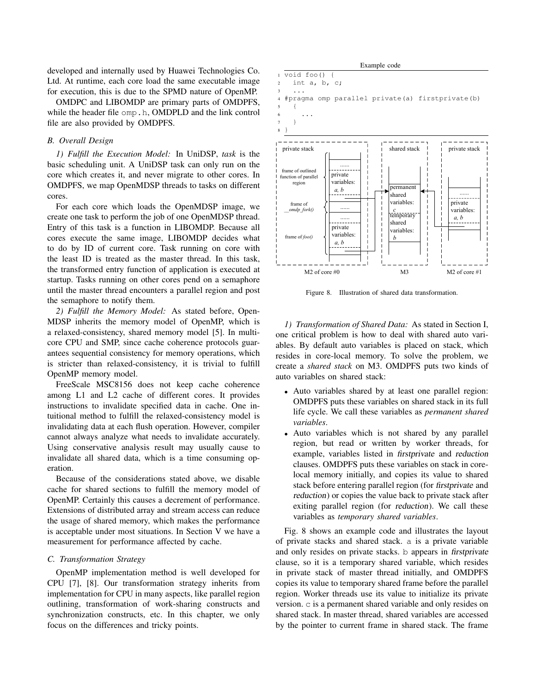developed and internally used by Huawei Technologies Co. Ltd. At runtime, each core load the same executable image for execution, this is due to the SPMD nature of OpenMP.

OMDPC and LIBOMDP are primary parts of OMDPFS, while the header file omp.h, OMDPLD and the link control file are also provided by OMDPFS.

#### *B. Overall Design*

*1) Fulfill the Execution Model:* In UniDSP, *task* is the basic scheduling unit. A UniDSP task can only run on the core which creates it, and never migrate to other cores. In OMDPFS, we map OpenMDSP threads to tasks on different cores.

For each core which loads the OpenMDSP image, we create one task to perform the job of one OpenMDSP thread. Entry of this task is a function in LIBOMDP. Because all cores execute the same image, LIBOMDP decides what to do by ID of current core. Task running on core with the least ID is treated as the master thread. In this task, the transformed entry function of application is executed at startup. Tasks running on other cores pend on a semaphore until the master thread encounters a parallel region and post the semaphore to notify them.

*2) Fulfill the Memory Model:* As stated before, Open-MDSP inherits the memory model of OpenMP, which is a relaxed-consistency, shared memory model [5]. In multicore CPU and SMP, since cache coherence protocols guarantees sequential consistency for memory operations, which is stricter than relaxed-consistency, it is trivial to fulfill OpenMP memory model.

FreeScale MSC8156 does not keep cache coherence among L1 and L2 cache of different cores. It provides instructions to invalidate specified data in cache. One intuitional method to fulfill the relaxed-consistency model is invalidating data at each flush operation. However, compiler cannot always analyze what needs to invalidate accurately. Using conservative analysis result may usually cause to invalidate all shared data, which is a time consuming operation.

Because of the considerations stated above, we disable cache for shared sections to fulfill the memory model of OpenMP. Certainly this causes a decrement of performance. Extensions of distributed array and stream access can reduce the usage of shared memory, which makes the performance is acceptable under most situations. In Section V we have a measurement for performance affected by cache.

## *C. Transformation Strategy*

OpenMP implementation method is well developed for CPU [7], [8]. Our transformation strategy inherits from implementation for CPU in many aspects, like parallel region outlining, transformation of work-sharing constructs and synchronization constructs, etc. In this chapter, we only focus on the differences and tricky points.



Figure 8. Illustration of shared data transformation.

*1) Transformation of Shared Data:* As stated in Section I, one critical problem is how to deal with shared auto variables. By default auto variables is placed on stack, which resides in core-local memory. To solve the problem, we create a *shared stack* on M3. OMDPFS puts two kinds of auto variables on shared stack:

- Auto variables shared by at least one parallel region: OMDPFS puts these variables on shared stack in its full life cycle. We call these variables as *permanent shared variables*.
- Auto variables which is not shared by any parallel region, but read or written by worker threads, for example, variables listed in firstprivate and reduction clauses. OMDPFS puts these variables on stack in corelocal memory initially, and copies its value to shared stack before entering parallel region (for firstprivate and reduction) or copies the value back to private stack after exiting parallel region (for reduction). We call these variables as *temporary shared variables*.

Fig. 8 shows an example code and illustrates the layout of private stacks and shared stack. a is a private variable and only resides on private stacks. b appears in firstprivate clause, so it is a temporary shared variable, which resides in private stack of master thread initially, and OMDPFS copies its value to temporary shared frame before the parallel region. Worker threads use its value to initialize its private version. c is a permanent shared variable and only resides on shared stack. In master thread, shared variables are accessed by the pointer to current frame in shared stack. The frame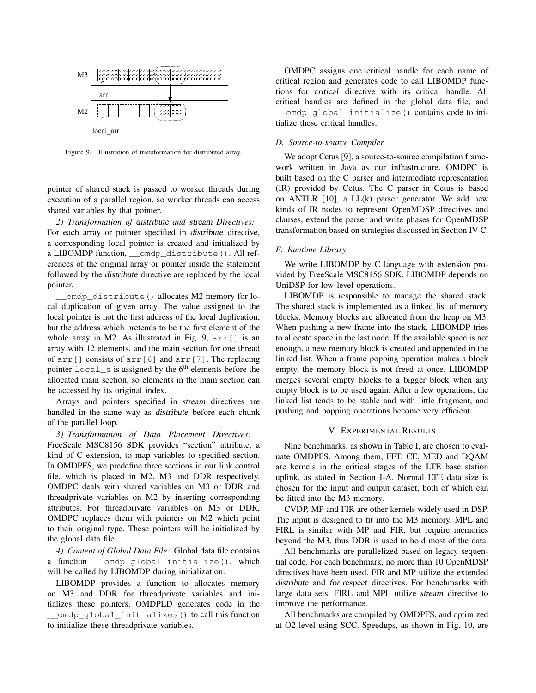

Figure 9. Illustration of transformation for distributed array.

pointer of shared stack is passed to worker threads during execution of a parallel region, so worker threads can access shared variables by that pointer.

*2) Transformation of* distribute *and* stream *Directives:* For each array or pointer specified in distribute directive, a corresponding local pointer is created and initialized by a LIBOMDP function, \_\_omdp\_distribute(). All references of the original array or pointer inside the statement followed by the distribute directive are replaced by the local pointer.

\_omdp\_distribute() allocates M2 memory for local duplication of given array. The value assigned to the local pointer is not the first address of the local duplication, but the address which pretends to be the first element of the whole array in M2. As illustrated in Fig. 9,  $\text{arr}[ ]$  is an array with 12 elements, and the main section for one thread of arr[] consists of arr[6] and arr[7]. The replacing pointer  $local$  is assigned by the  $6<sup>th</sup>$  elements before the allocated main section, so elements in the main section can be accessed by its original index.

Arrays and pointers specified in stream directives are handled in the same way as distribute before each chunk of the parallel loop.

*3) Transformation of Data Placement Directives:* FreeScale MSC8156 SDK provides "section" attribute, a kind of C extension, to map variables to specified section. In OMDPFS, we predefine three sections in our link control file, which is placed in M2, M3 and DDR respectively. OMDPC deals with shared variables on M3 or DDR and threadprivate variables on M2 by inserting corresponding attributes. For threadprivate variables on M3 or DDR, OMDPC replaces them with pointers on M2 which point to their original type. These pointers will be initialized by the global data file.

*4) Content of Global Data File:* Global data file contains a function \_\_omdp\_global\_initialize(), which will be called by LIBOMDP during initialization.

LIBOMDP provides a function to allocates memory on M3 and DDR for threadprivate variables and initializes these pointers. OMDPLD generates code in the \_\_omdp\_global\_initializes() to call this function to initialize these threadprivate variables.

OMDPC assigns one critical handle for each name of critical region and generates code to call LIBOMDP functions for critical directive with its critical handle. All critical handles are defined in the global data file, and \_\_omdp\_global\_initialize() contains code to initialize these critical handles.

#### *D. Source-to-source Compiler*

We adopt Cetus [9], a source-to-source compilation framework written in Java as our infrastructure. OMDPC is built based on the C parser and intermediate representation (IR) provided by Cetus. The C parser in Cetus is based on ANTLR [10], a LL(k) parser generator. We add new kinds of IR nodes to represent OpenMDSP directives and clauses, extend the parser and write phases for OpenMDSP transformation based on strategies discussed in Section IV-C.

## *E. Runtime Library*

We write LIBOMDP by C language with extension provided by FreeScale MSC8156 SDK. LIBOMDP depends on UniDSP for low level operations.

LIBOMDP is responsible to manage the shared stack. The shared stack is implemented as a linked list of memory blocks. Memory blocks are allocated from the heap on M3. When pushing a new frame into the stack, LIBOMDP tries to allocate space in the last node. If the available space is not enough, a new memory block is created and appended in the linked list. When a frame popping operation makes a block empty, the memory block is not freed at once. LIBOMDP merges several empty blocks to a bigger block when any empty block is to be used again. After a few operations, the linked list tends to be stable and with little fragment, and pushing and popping operations become very efficient.

#### V. EXPERIMENTAL RESULTS

Nine benchmarks, as shown in Table I, are chosen to evaluate OMDPFS. Among them, FFT, CE, MED and DQAM are kernels in the critical stages of the LTE base station uplink, as stated in Section I-A. Normal LTE data size is chosen for the input and output dataset, both of which can be fitted into the M3 memory.

CVDP, MP and FIR are other kernels widely used in DSP. The input is designed to fit into the M3 memory. MPL and FIRL is similar with MP and FIR, but require memories beyond the M3, thus DDR is used to hold most of the data.

All benchmarks are parallelized based on legacy sequential code. For each benchmark, no more than 10 OpenMDSP directives have been used. FIR and MP utilize the extended distribute and for respect directives. For benchmarks with large data sets, FIRL and MPL utilize stream directive to improve the performance.

All benchmarks are compiled by OMDPFS, and optimized at O2 level using SCC. Speedups, as shown in Fig. 10, are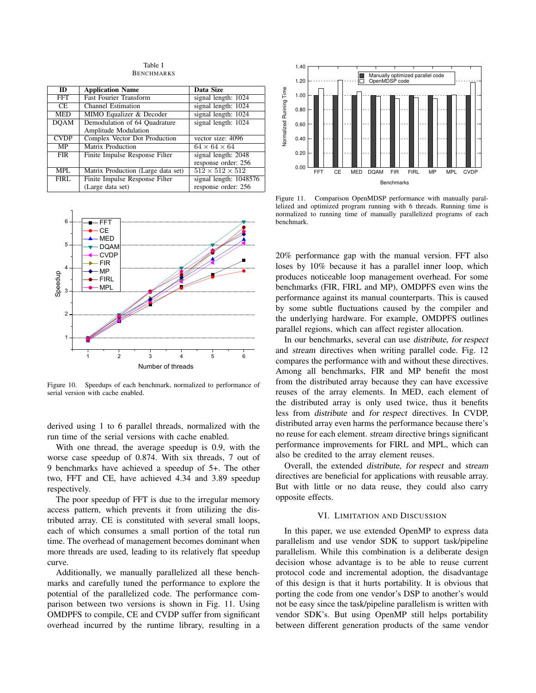Table I BENCHMARKS

| $\overline{ID}$ | <b>Application Name</b>            | <b>Data Size</b>            |
|-----------------|------------------------------------|-----------------------------|
| <b>FFT</b>      | <b>Fast Fourier Transform</b>      | signal length: $1024$       |
| CE.             | <b>Channel Estimation</b>          | signal length: 1024         |
| <b>MED</b>      | MIMO Equalizer & Decoder           | signal length: 1024         |
| <b>DOAM</b>     | Demodulation of 64 Quadrature      | signal length: 1024         |
|                 | Amplitude Modulation               |                             |
| <b>CVDP</b>     | Complex Vector Dot Production      | vector size: 4096           |
| MP              | <b>Matrix Production</b>           | $64 \times 64 \times 64$    |
| <b>FIR</b>      | Finite Impulse Response Filter     | signal length: 2048         |
|                 |                                    | response order: 256         |
| <b>MPL</b>      | Matrix Production (Large data set) | $512 \times 512 \times 512$ |
| <b>FIRL</b>     | Finite Impulse Response Filter     | signal length: 1048576      |
|                 | (Large data set)                   | response order: 256         |



Figure 10. Speedups of each benchmark, normalized to performance of serial version with cache enabled.

derived using 1 to 6 parallel threads, normalized with the run time of the serial versions with cache enabled.

With one thread, the average speedup is 0.9, with the worse case speedup of 0.874. With six threads, 7 out of 9 benchmarks have achieved a speedup of 5+. The other two, FFT and CE, have achieved 4.34 and 3.89 speedup respectively.

The poor speedup of FFT is due to the irregular memory access pattern, which prevents it from utilizing the distributed array. CE is constituted with several small loops, each of which consumes a small portion of the total run time. The overhead of management becomes dominant when more threads are used, leading to its relatively flat speedup curve.

Additionally, we manually parallelized all these benchmarks and carefully tuned the performance to explore the potential of the parallelized code. The performance comparison between two versions is shown in Fig. 11. Using OMDPFS to compile, CE and CVDP suffer from significant overhead incurred by the runtime library, resulting in a

![](_page_7_Figure_8.jpeg)

Figure 11. Comparison OpenMDSP performance with manually parallelized and optimized program running with 6 threads. Running time is normalized to running time of manually parallelized programs of each benchmark.

20% performance gap with the manual version. FFT also loses by 10% because it has a parallel inner loop, which produces noticeable loop management overhead. For some benchmarks (FIR, FIRL and MP), OMDPFS even wins the performance against its manual counterparts. This is caused by some subtle fluctuations caused by the compiler and the underlying hardware. For example, OMDPFS outlines parallel regions, which can affect register allocation.

In our benchmarks, several can use distribute, for respect and stream directives when writing parallel code. Fig. 12 compares the performance with and without these directives. Among all benchmarks, FIR and MP benefit the most from the distributed array because they can have excessive reuses of the array elements. In MED, each element of the distributed array is only used twice, thus it benefits less from distribute and for respect directives. In CVDP, distributed array even harms the performance because there's no reuse for each element. stream directive brings significant performance improvements for FIRL and MPL, which can also be credited to the array element reuses.

Overall, the extended distribute, for respect and stream directives are beneficial for applications with reusable array. But with little or no data reuse, they could also carry opposite effects.

## VI. LIMITATION AND DISCUSSION

In this paper, we use extended OpenMP to express data parallelism and use vendor SDK to support task/pipeline parallelism. While this combination is a deliberate design decision whose advantage is to be able to reuse current protocol code and incremental adoption, the disadvantage of this design is that it hurts portability. It is obvious that porting the code from one vendor's DSP to another's would not be easy since the task/pipeline parallelism is written with vendor SDK's. But using OpenMP still helps portability between different generation products of the same vendor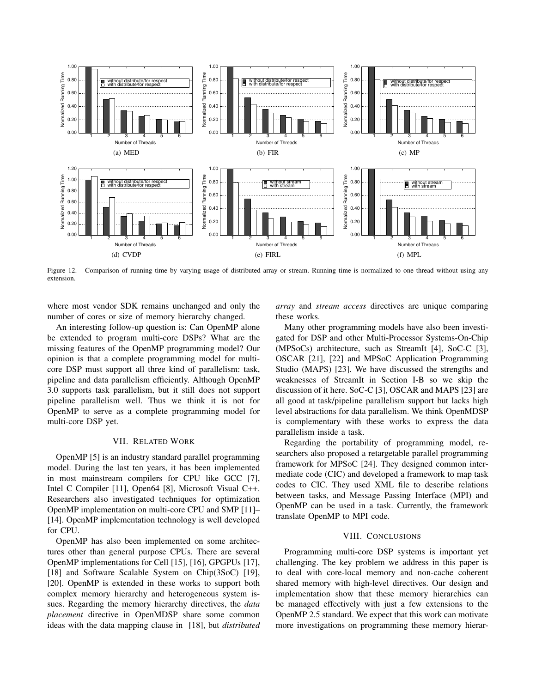![](_page_8_Figure_0.jpeg)

Figure 12. Comparison of running time by varying usage of distributed array or stream. Running time is normalized to one thread without using any extension.

where most vendor SDK remains unchanged and only the number of cores or size of memory hierarchy changed.

An interesting follow-up question is: Can OpenMP alone be extended to program multi-core DSPs? What are the missing features of the OpenMP programming model? Our opinion is that a complete programming model for multicore DSP must support all three kind of parallelism: task, pipeline and data parallelism efficiently. Although OpenMP 3.0 supports task parallelism, but it still does not support pipeline parallelism well. Thus we think it is not for OpenMP to serve as a complete programming model for multi-core DSP yet.

## VII. RELATED WORK

OpenMP [5] is an industry standard parallel programming model. During the last ten years, it has been implemented in most mainstream compilers for CPU like GCC [7], Intel C Compiler [11], Open64 [8], Microsoft Visual C++. Researchers also investigated techniques for optimization OpenMP implementation on multi-core CPU and SMP [11]– [14]. OpenMP implementation technology is well developed for CPU.

OpenMP has also been implemented on some architectures other than general purpose CPUs. There are several OpenMP implementations for Cell [15], [16], GPGPUs [17], [18] and Software Scalable System on Chip(3SoC) [19], [20]. OpenMP is extended in these works to support both complex memory hierarchy and heterogeneous system issues. Regarding the memory hierarchy directives, the *data placement* directive in OpenMDSP share some common ideas with the data mapping clause in [18], but *distributed* *array* and *stream access* directives are unique comparing these works.

Many other programming models have also been investigated for DSP and other Multi-Processor Systems-On-Chip (MPSoCs) architecture, such as StreamIt [4], SoC-C [3], OSCAR [21], [22] and MPSoC Application Programming Studio (MAPS) [23]. We have discussed the strengths and weaknesses of StreamIt in Section I-B so we skip the discussion of it here. SoC-C [3], OSCAR and MAPS [23] are all good at task/pipeline parallelism support but lacks high level abstractions for data parallelism. We think OpenMDSP is complementary with these works to express the data parallelism inside a task.

Regarding the portability of programming model, researchers also proposed a retargetable parallel programming framework for MPSoC [24]. They designed common intermediate code (CIC) and developed a framework to map task codes to CIC. They used XML file to describe relations between tasks, and Message Passing Interface (MPI) and OpenMP can be used in a task. Currently, the framework translate OpenMP to MPI code.

#### VIII. CONCLUSIONS

Programming multi-core DSP systems is important yet challenging. The key problem we address in this paper is to deal with core-local memory and non-cache coherent shared memory with high-level directives. Our design and implementation show that these memory hierarchies can be managed effectively with just a few extensions to the OpenMP 2.5 standard. We expect that this work can motivate more investigations on programming these memory hierar